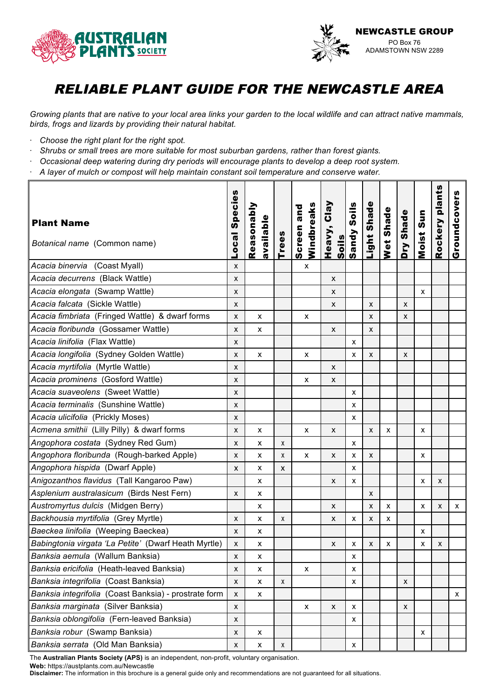



*Growing plants that are native to your local area links your garden to the local wildlife and can attract native mammals, birds, frogs and lizards by providing their natural habitat.*

- · *Choose the right plant for the right spot.*
- · *Shrubs or small trees are more suitable for most suburban gardens, rather than forest giants.*
- · *Occasional deep watering during dry periods will encourage plants to develop a deep root system.*
- · *A layer of mulch or compost will help maintain constant soil temperature and conserve water.*

| <b>Plant Name</b><br>Botanical name (Common name)     | Species<br><b>Local</b> | Reasonably<br>available | <b>Trees</b>       | Windbreaks<br>Screen and | Heavy, Clay<br><u>Soils</u> | Sandy Soils  | Light Shade | Wet Shade | Dry Shade | Moist Sun | Rockery plants | Groundcovers |
|-------------------------------------------------------|-------------------------|-------------------------|--------------------|--------------------------|-----------------------------|--------------|-------------|-----------|-----------|-----------|----------------|--------------|
| Acacia binervia (Coast Myall)                         | x                       |                         |                    | x                        |                             |              |             |           |           |           |                |              |
| Acacia decurrens (Black Wattle)                       | X                       |                         |                    |                          | X                           |              |             |           |           |           |                |              |
| Acacia elongata (Swamp Wattle)                        | X                       |                         |                    |                          | X                           |              |             |           |           | x         |                |              |
| Acacia falcata (Sickle Wattle)                        | X                       |                         |                    |                          | X                           |              | X           |           | X         |           |                |              |
| Acacia fimbriata (Fringed Wattle) & dwarf forms       | X                       | X                       |                    | x                        |                             |              | X           |           | X         |           |                |              |
| Acacia floribunda (Gossamer Wattle)                   | X                       | X                       |                    |                          | X                           |              | X           |           |           |           |                |              |
| Acacia linifolia (Flax Wattle)                        | x                       |                         |                    |                          |                             | х            |             |           |           |           |                |              |
| Acacia longifolia (Sydney Golden Wattle)              | X                       | X                       |                    | x                        |                             | X            | X           |           | X         |           |                |              |
| Acacia myrtifolia (Myrtle Wattle)                     | x                       |                         |                    |                          | X                           |              |             |           |           |           |                |              |
| Acacia prominens (Gosford Wattle)                     | X                       |                         |                    | x                        | X                           |              |             |           |           |           |                |              |
| Acacia suaveolens (Sweet Wattle)                      | X                       |                         |                    |                          |                             | X            |             |           |           |           |                |              |
| Acacia terminalis (Sunshine Wattle)                   | X                       |                         |                    |                          |                             | X            |             |           |           |           |                |              |
| Acacia ulicifolia (Prickly Moses)                     | X                       |                         |                    |                          |                             | X            |             |           |           |           |                |              |
| Acmena smithii (Lilly Pilly) & dwarf forms            | X                       | х                       |                    | х                        | X                           |              | X           | x         |           | х         |                |              |
| Angophora costata (Sydney Red Gum)                    | X                       | X                       | X                  |                          |                             | X            |             |           |           |           |                |              |
| Angophora floribunda (Rough-barked Apple)             | X                       | X                       | X                  | x                        | X                           | х            | x           |           |           | x         |                |              |
| Angophora hispida (Dwarf Apple)                       | X                       | X                       | X                  |                          |                             | X            |             |           |           |           |                |              |
| Anigozanthos flavidus (Tall Kangaroo Paw)             |                         | X                       |                    |                          | X                           | X            |             |           |           | X         | X              |              |
| Asplenium australasicum (Birds Nest Fern)             | X                       | X                       |                    |                          |                             |              | X           |           |           |           |                |              |
| Austromyrtus dulcis (Midgen Berry)                    |                         | X                       |                    |                          | X                           |              | X           | X         |           | X         | X              | X            |
| Backhousia myrtifolia (Grey Myrtle)                   | X                       | X                       | χ                  |                          | X                           | х            | X           | х         |           |           |                |              |
| Baeckea linifolia (Weeping Baeckea)                   | X                       | х                       |                    |                          |                             |              |             |           |           | х         |                |              |
| Babingtonia virgata 'La Petite' (Dwarf Heath Myrtle)  | X                       | х                       |                    |                          | X                           | х            | X           | х         |           | x         | X              |              |
| Banksia aemula (Wallum Banksia)                       | x                       | х                       |                    |                          |                             | х            |             |           |           |           |                |              |
| Banksia ericifolia (Heath-leaved Banksia)             | X                       | $\pmb{\chi}$            |                    | x                        |                             | X            |             |           |           |           |                |              |
| Banksia integrifolia (Coast Banksia)                  | X                       | $\pmb{\mathsf{X}}$      | $\pmb{\mathsf{X}}$ |                          |                             | $\pmb{\chi}$ |             |           | X         |           |                |              |
| Banksia integrifolia (Coast Banksia) - prostrate form | X                       | $\pmb{\mathsf{X}}$      |                    |                          |                             |              |             |           |           |           |                | x            |
| Banksia marginata (Silver Banksia)                    | X                       |                         |                    | X                        | X                           | X            |             |           | X         |           |                |              |
| Banksia oblongifolia (Fern-leaved Banksia)            | X                       |                         |                    |                          |                             | X            |             |           |           |           |                |              |
| Banksia robur (Swamp Banksia)                         | X                       | X                       |                    |                          |                             |              |             |           |           | x         |                |              |
| Banksia serrata (Old Man Banksia)                     | X                       | X                       | X                  |                          |                             | X            |             |           |           |           |                |              |

The **Australian Plants Society (APS)** is an independent, non-profit, voluntary organisation.

**Web:** https://austplants.com.au/Newcastle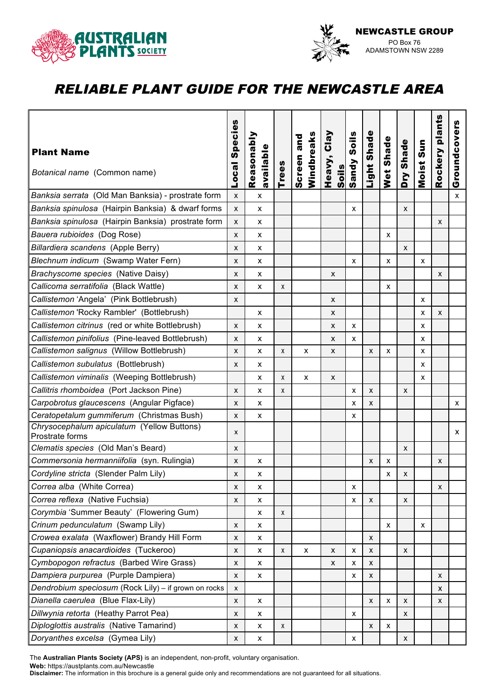



|                                                               |                           |                           |              |                          |                 |                    |                           |                |                    |           | plants  |              |
|---------------------------------------------------------------|---------------------------|---------------------------|--------------|--------------------------|-----------------|--------------------|---------------------------|----------------|--------------------|-----------|---------|--------------|
| <b>Plant Name</b>                                             | <b>Species</b>            | Reasonably                |              | Windbreaks<br>Screen and | Clay            | Soils              | Light Shade               | Wet Shade      | Dry Shade          | Moist Sun |         | Groundcovers |
| Botanical name (Common name)                                  | <b>Local</b>              | available                 | <b>Trees</b> |                          | Heavy,<br>Soils | Sandy              |                           |                |                    |           | Rockery |              |
| Banksia serrata (Old Man Banksia) - prostrate form            | X                         | $\mathsf{x}$              |              |                          |                 |                    |                           |                |                    |           |         | x            |
| Banksia spinulosa (Hairpin Banksia) & dwarf forms             | X                         | х                         |              |                          |                 | X                  |                           |                | X                  |           |         |              |
| Banksia spinulosa (Hairpin Banksia) prostrate form            | X                         | X                         |              |                          |                 |                    |                           |                |                    |           | X       |              |
| Bauera rubioides (Dog Rose)                                   | $\pmb{\chi}$              | $\pmb{\chi}$              |              |                          |                 |                    |                           | X              |                    |           |         |              |
| Billardiera scandens (Apple Berry)                            | X                         | X                         |              |                          |                 |                    |                           |                | X                  |           |         |              |
| Blechnum indicum (Swamp Water Fern)                           | X                         | X                         |              |                          |                 | X                  |                           | X              |                    | x         |         |              |
| Brachyscome species (Native Daisy)                            | X                         | х                         |              |                          | X               |                    |                           |                |                    |           | X       |              |
| Callicoma serratifolia (Black Wattle)                         | X                         | X                         | X            |                          |                 |                    |                           | X              |                    |           |         |              |
| Callistemon 'Angela' (Pink Bottlebrush)                       | X                         |                           |              |                          | X               |                    |                           |                |                    | x         |         |              |
| Callistemon 'Rocky Rambler' (Bottlebrush)                     |                           | X                         |              |                          | X               |                    |                           |                |                    | x         | X       |              |
| Callistemon citrinus (red or white Bottlebrush)               | X                         | X                         |              |                          | X               | х                  |                           |                |                    | x         |         |              |
| Callistemon pinifolius (Pine-leaved Bottlebrush)              | X                         | х                         |              |                          | X               | х                  |                           |                |                    | X         |         |              |
| Callistemon salignus (Willow Bottlebrush)                     | X                         | X                         | X            | X                        | X               |                    | $\boldsymbol{\mathsf{x}}$ | X              |                    | X         |         |              |
| Callistemon subulatus (Bottlebrush)                           | X                         | $\boldsymbol{\mathsf{x}}$ |              |                          |                 |                    |                           |                |                    | X         |         |              |
| Callistemon viminalis (Weeping Bottlebrush)                   |                           | X                         | X            | X                        | X               |                    |                           |                |                    | x         |         |              |
| Callitris rhomboidea (Port Jackson Pine)                      | X                         | X                         | X            |                          |                 | X                  | $\boldsymbol{\mathsf{x}}$ |                | X                  |           |         |              |
| Carpobrotus glaucescens (Angular Pigface)                     | X                         | х                         |              |                          |                 | x                  | X                         |                |                    |           |         | x            |
| Ceratopetalum gummiferum (Christmas Bush)                     | X                         | X                         |              |                          |                 | х                  |                           |                |                    |           |         |              |
| Chrysocephalum apiculatum (Yellow Buttons)<br>Prostrate forms | $\boldsymbol{\mathsf{x}}$ |                           |              |                          |                 |                    |                           |                |                    |           |         | x            |
| Clematis species (Old Man's Beard)                            | X                         |                           |              |                          |                 |                    |                           |                | X                  |           |         |              |
| Commersonia hermanniifolia (syn. Rulingia)                    | X                         | $\boldsymbol{\mathsf{x}}$ |              |                          |                 |                    | X                         | X              |                    |           | X       |              |
| Cordyline stricta (Slender Palm Lily)                         | X                         | X                         |              |                          |                 |                    |                           | X              | X                  |           |         |              |
| Correa alba (White Correa)                                    | X                         | X                         |              |                          |                 | X                  |                           |                |                    |           | X       |              |
| Correa reflexa (Native Fuchsia)                               | X                         | X                         |              |                          |                 | х                  | X                         |                | X                  |           |         |              |
| Corymbia 'Summer Beauty' (Flowering Gum)                      |                           | X                         | X            |                          |                 |                    |                           |                |                    |           |         |              |
| Crinum pedunculatum (Swamp Lily)                              | $\pmb{\chi}$              | X                         |              |                          |                 |                    |                           | $\pmb{\times}$ |                    | X         |         |              |
| Crowea exalata (Waxflower) Brandy Hill Form                   | X                         | X                         |              |                          |                 |                    | X                         |                |                    |           |         |              |
| Cupaniopsis anacardioides (Tuckeroo)                          | X                         | $\boldsymbol{\mathsf{x}}$ | X            | X                        | X               | X                  | X                         |                | X                  |           |         |              |
| Cymbopogon refractus (Barbed Wire Grass)                      | X                         | $\pmb{\mathsf{x}}$        |              |                          | X               | x                  | X                         |                |                    |           |         |              |
| Dampiera purpurea (Purple Dampiera)                           | X                         | $\pmb{\chi}$              |              |                          |                 | $\pmb{\mathsf{x}}$ | $\pmb{\chi}$              |                |                    |           | X       |              |
| Dendrobium speciosum (Rock Lily) - if grown on rocks          | $\pmb{\chi}$              |                           |              |                          |                 |                    |                           |                |                    |           | X       |              |
| Dianella caerulea (Blue Flax-Lily)                            | X                         | х                         |              |                          |                 |                    | X                         | X              | x                  |           | X       |              |
| Dillwynia retorta (Heathy Parrot Pea)                         | X                         | х                         |              |                          |                 | x                  |                           |                | X                  |           |         |              |
| Diploglottis australis (Native Tamarind)                      | X                         | X                         | X            |                          |                 |                    | X                         | X              |                    |           |         |              |
| Doryanthes excelsa (Gymea Lily)                               | X                         | X                         |              |                          |                 | X                  |                           |                | $\pmb{\mathsf{X}}$ |           |         |              |

The **Australian Plants Society (APS)** is an independent, non-profit, voluntary organisation.

**Web:** https://austplants.com.au/Newcastle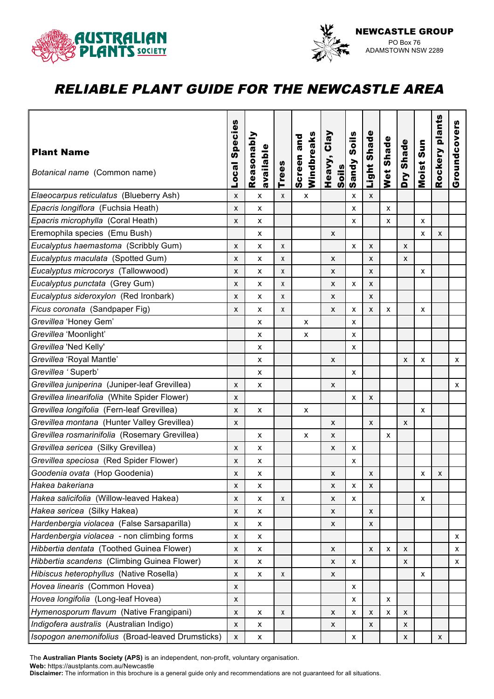



| <b>Plant Name</b><br>Botanical name (Common name) | <b>Species</b><br>Loca | Reasonably<br>available   | <b>Trees</b> | Windbreaks<br>Screen and | Heavy, Clay<br><u>Soils</u> | Soils<br>Sandy | Light Shade               | Wet Shade | Dry Shade | Moist Sun | plants<br>Rockery | Groundcovers |
|---------------------------------------------------|------------------------|---------------------------|--------------|--------------------------|-----------------------------|----------------|---------------------------|-----------|-----------|-----------|-------------------|--------------|
| Elaeocarpus reticulatus (Blueberry Ash)           | X                      | $\mathsf{x}$              | X            | X                        |                             | X              | X                         |           |           |           |                   |              |
| Epacris longiflora (Fuchsia Heath)                | X                      | X                         |              |                          |                             | x              |                           | X         |           |           |                   |              |
| Epacris microphylla (Coral Heath)                 | X                      | X                         |              |                          |                             | X              |                           | X         |           | x         |                   |              |
| Eremophila species (Emu Bush)                     |                        | х                         |              |                          | X                           |                |                           |           |           | X         | X                 |              |
| Eucalyptus haemastoma (Scribbly Gum)              | X                      | X                         | X            |                          |                             | X              | X                         |           | X         |           |                   |              |
| Eucalyptus maculata (Spotted Gum)                 | X                      | x                         | X            |                          | X                           |                | X                         |           | X         |           |                   |              |
| Eucalyptus microcorys (Tallowwood)                | X                      | X                         | X            |                          | X                           |                | X                         |           |           | x         |                   |              |
| Eucalyptus punctata (Grey Gum)                    | X                      | X                         | X            |                          | X                           | X              | X                         |           |           |           |                   |              |
| Eucalyptus sideroxylon (Red Ironbark)             | X                      | $\boldsymbol{\mathsf{x}}$ | X            |                          | $\pmb{\times}$              |                | $\mathsf{x}$              |           |           |           |                   |              |
| Ficus coronata (Sandpaper Fig)                    | X                      | $\boldsymbol{\mathsf{x}}$ | X            |                          | X                           | x              | X                         | X         |           | X         |                   |              |
| Grevillea 'Honey Gem'                             |                        | X                         |              | X                        |                             | X              |                           |           |           |           |                   |              |
| Grevillea 'Moonlight'                             |                        | X                         |              | X                        |                             | X              |                           |           |           |           |                   |              |
| Grevillea 'Ned Kelly'                             |                        | X                         |              |                          |                             | х              |                           |           |           |           |                   |              |
| Grevillea 'Royal Mantle'                          |                        | X                         |              |                          | X                           |                |                           |           | X         | x         |                   | x            |
| Grevillea 'Superb'                                |                        | X                         |              |                          |                             | х              |                           |           |           |           |                   |              |
| Grevillea juniperina (Juniper-leaf Grevillea)     | X                      | X                         |              |                          | X                           |                |                           |           |           |           |                   | x            |
| Grevillea linearifolia (White Spider Flower)      | X                      |                           |              |                          |                             | X              | X                         |           |           |           |                   |              |
| Grevillea longifolia (Fern-leaf Grevillea)        | X                      | X                         |              | X                        |                             |                |                           |           |           | x         |                   |              |
| Grevillea montana (Hunter Valley Grevillea)       | X                      |                           |              |                          | x                           |                | X                         |           | X         |           |                   |              |
| Grevillea rosmarinifolia (Rosemary Grevillea)     |                        | X                         |              | X                        | X                           |                |                           | X         |           |           |                   |              |
| Grevillea sericea (Silky Grevillea)               | X                      | х                         |              |                          | X                           | х              |                           |           |           |           |                   |              |
| Grevillea speciosa (Red Spider Flower)            | X                      | X                         |              |                          |                             | x              |                           |           |           |           |                   |              |
| Goodenia ovata (Hop Goodenia)                     | X                      | $\pmb{\times}$            |              |                          | X                           |                | X                         |           |           | X         | X                 |              |
| Hakea bakeriana                                   | X                      | X                         |              |                          | X                           | x              | X                         |           |           |           |                   |              |
| Hakea salicifolia (Willow-leaved Hakea)           | $\pmb{\chi}$           | $\pmb{\mathsf{X}}$        | $\pmb{\chi}$ |                          | X                           | X              |                           |           |           | X         |                   |              |
| Hakea sericea (Silky Hakea)                       | $\pmb{\chi}$           | x                         |              |                          | X                           |                | X                         |           |           |           |                   |              |
| Hardenbergia violacea (False Sarsaparilla)        | X                      | X                         |              |                          | X                           |                | X                         |           |           |           |                   |              |
| Hardenbergia violacea - non climbing forms        | X                      | х                         |              |                          |                             |                |                           |           |           |           |                   | x.           |
| Hibbertia dentata (Toothed Guinea Flower)         | X                      | х                         |              |                          | X                           |                | X                         | X         | X         |           |                   | X            |
| Hibbertia scandens (Climbing Guinea Flower)       | X                      | х                         |              |                          | X                           | х              |                           |           | X         |           |                   | x            |
| Hibiscus heterophyllus (Native Rosella)           | X                      | X                         | X            |                          | X                           |                |                           |           |           | x         |                   |              |
| Hovea linearis (Common Hovea)                     | X                      |                           |              |                          |                             | X              |                           |           |           |           |                   |              |
| Hovea longifolia (Long-leaf Hovea)                | X                      |                           |              |                          |                             | X              |                           | X         |           |           |                   |              |
| Hymenosporum flavum (Native Frangipani)           | X                      | х                         | Χ            |                          | x                           | х              | $\boldsymbol{\mathsf{x}}$ | х         | X         |           |                   |              |
| Indigofera australis (Australian Indigo)          | X                      | X                         |              |                          | X                           |                | X                         |           | X         |           |                   |              |
| Isopogon anemonifolius (Broad-leaved Drumsticks)  | $\mathsf{x}$           | X                         |              |                          |                             | х              |                           |           | X         |           | X                 |              |

The **Australian Plants Society (APS)** is an independent, non-profit, voluntary organisation.

**Web:** https://austplants.com.au/Newcastle